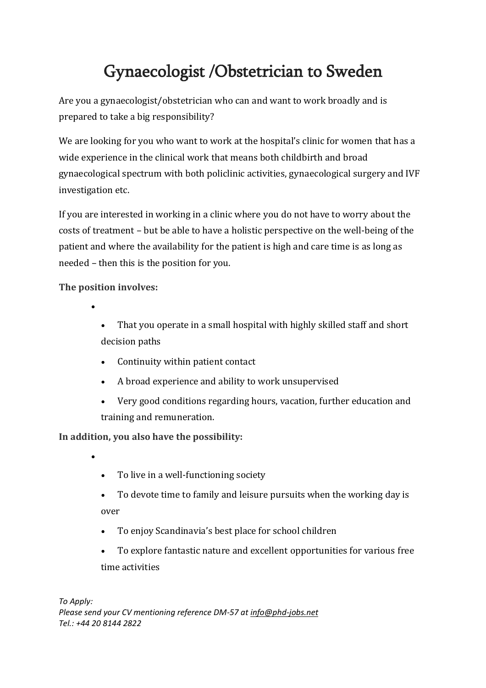## Gynaecologist /Obstetrician to Sweden

Are you a gynaecologist/obstetrician who can and want to work broadly and is prepared to take a big responsibility?

We are looking for you who want to work at the hospital's clinic for women that has a wide experience in the clinical work that means both childbirth and broad gynaecological spectrum with both policlinic activities, gynaecological surgery and IVF investigation etc.

If you are interested in working in a clinic where you do not have to worry about the costs of treatment – but be able to have a holistic perspective on the well-being of the patient and where the availability for the patient is high and care time is as long as needed – then this is the position for you.

**The position involves:**

•

•

- That you operate in a small hospital with highly skilled staff and short decision paths
- Continuity within patient contact
- A broad experience and ability to work unsupervised
- Very good conditions regarding hours, vacation, further education and training and remuneration.

**In addition, you also have the possibility:**

- To live in a well-functioning society
- To devote time to family and leisure pursuits when the working day is over
- To enjoy Scandinavia's best place for school children
- To explore fantastic nature and excellent opportunities for various free time activities